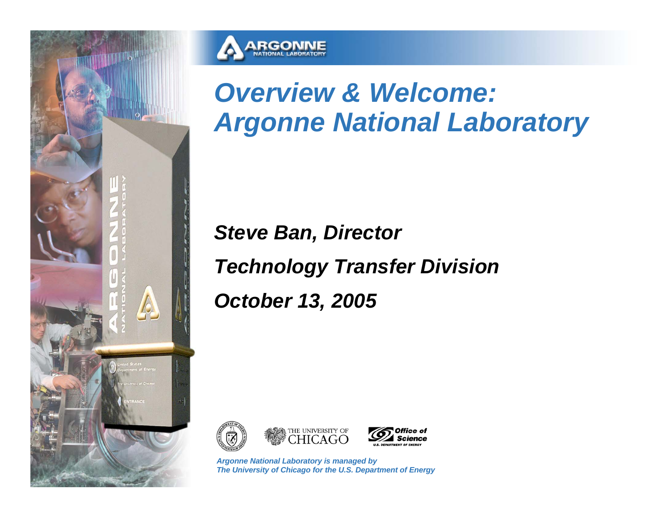



# *Overview & Welcome: Argonne National Laboratory*

*Steve Ban, Director Technology Transfer Division October 13, 2005*





*Argonne National Laboratory is managed by The University of Chicago for the U.S. Department of Energy*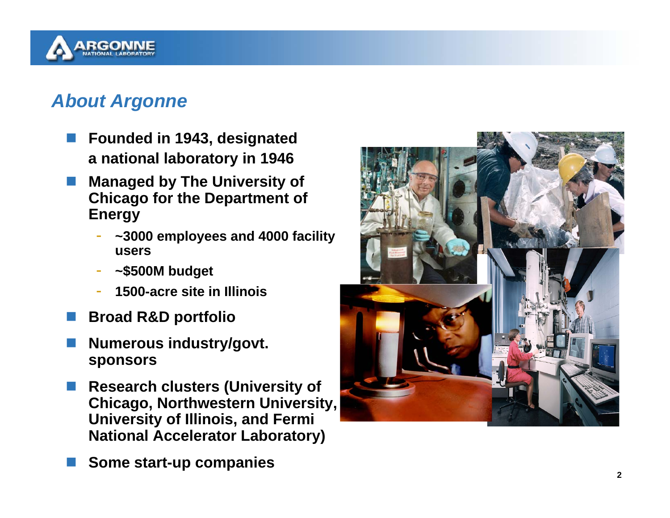

#### *About Argonne*

- $\overline{\phantom{a}}$  **Founded in 1943, designated a national laboratory in 1946**
- $\overline{\phantom{a}}$  **Managed by The University of Chicago for the Department of Energy**
	- **~3000 employees and 4000 facility users**
	- -**~\$500M budget**
	- **1500-acre site in Illinois**
- F **Broad R&D portfolio**
- F **Numerous industry/govt. sponsors**
- $\overline{\phantom{a}}$  **Research clusters (University of Chicago, Northwestern University, University of Illinois, and Fermi National Accelerator Laboratory)**
- F **Some start-up companies**

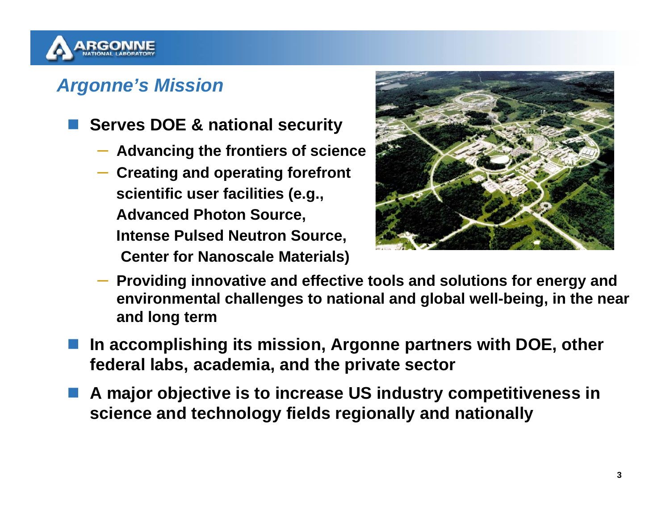

### *Argonne's Mission*

- **Serves DOE & national security**
	- **Advancing the frontiers of science**
	- **Creating and operating forefront scientific user facilities (e.g., Advanced Photon Source, Intense Pulsed Neutron Source, Center for Nanoscale Materials)**



- **Providing innovative and effective tools and solutions for energy and environmental challenges to national and global well-being, in the near and long term**
- **In accomplishing its mission, Argonne partners with DOE, other federal labs, academia, and the private sector**
- $\mathbb{R}^3$  **A major objective is to increase US industry competitiveness in science and technology fields regionally and nationally**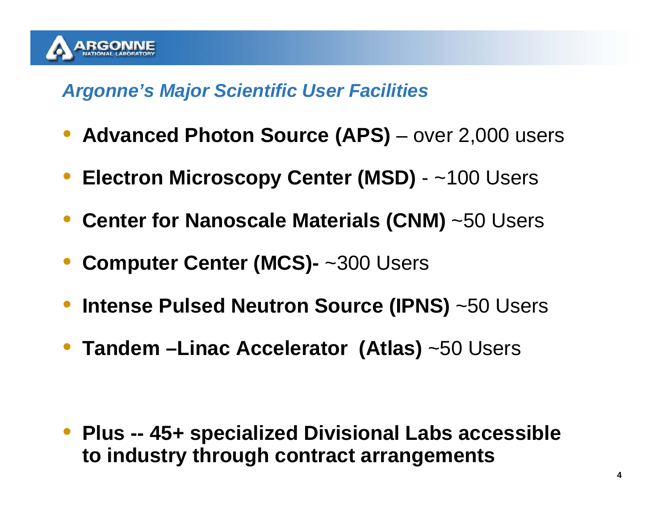

#### *Argonne's Major Scientific User Facilities*

- **Advanced Photon Source (APS)** over 2,000 users
- **Electron Microscopy Center (MSD)** ~100 Users
- **Center for Nanoscale Materials (CNM)** ~50 Users
- $\bullet$ **Computer Center (MCS)-** ~300 Users
- $\bullet$ **Intense Pulsed Neutron Source (IPNS)** ~50 Users
- **Tandem –Linac Accelerator (Atlas)** ~50 Users

 $\bullet$  **Plus -- 45+ specialized Divisional Labs accessible to industry through contract arrangements**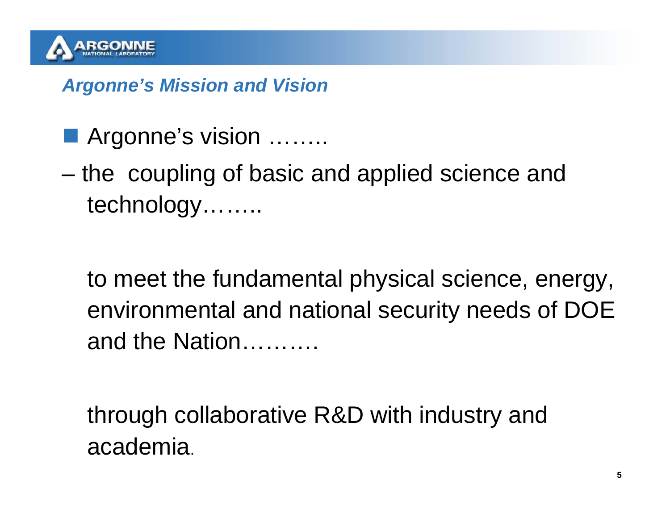

#### *Argonne's Mission and Vision*

- Argonne's vision ………
- the coupling of basic and applied science and technology……..

to meet the fundamental physical science, energy, environmental and national security needs of DOE and the Nation……….

through collaborative R&D with industry and academia.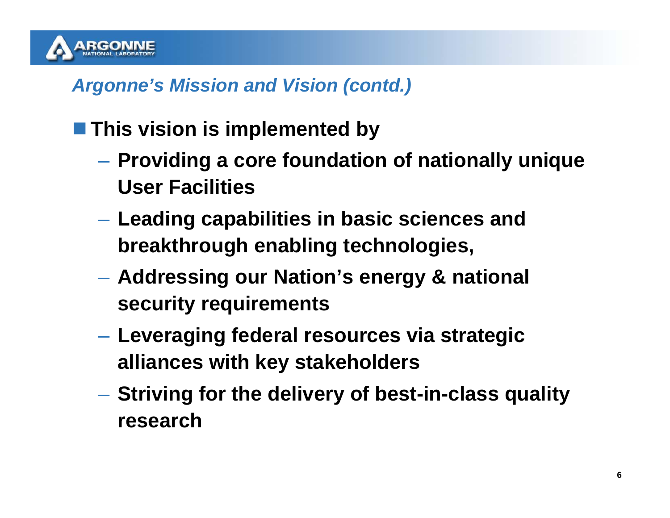

#### *Argonne's Mission and Vision (contd.)*

### **This vision is implemented by**

- **Providing a core foundation of nationally unique User Facilities**
- **Leading capabilities in basic sciences and breakthrough enabling technologies,**
- **Addressing our Nation's energy & national security requirements**
- **Leveraging federal resources via strategic alliances with key stakeholders**
- **Striving for the delivery of best-in-class quality research**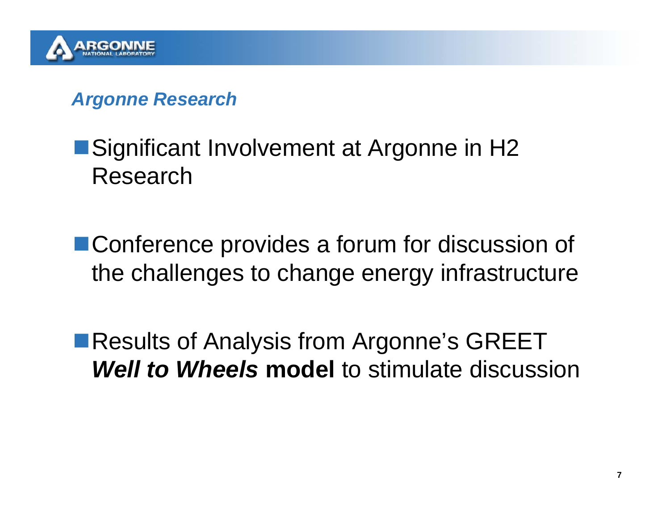

#### *Argonne Research*

## ■Significant Involvement at Argonne in H2 Research

■ Conference provides a forum for discussion of the challenges to change energy infrastructure

■Results of Analysis from Argonne's GREET *Well to Wheels* **model** to stimulate discussion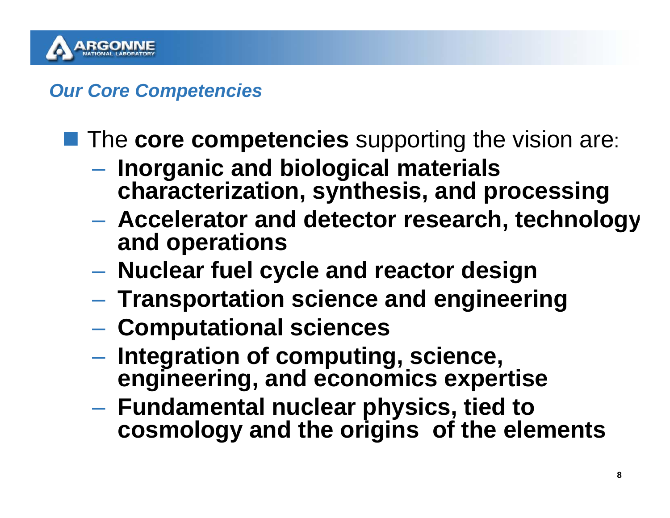

*Our Core Competencies*

**The core competencies** supporting the vision are:

- **Inorganic and biological materials characterization, synthesis, and processing**
- **Accelerator and detector research, technology and operations**
- **Nuclear fuel cycle and reactor design**
- **Transportation science and engineering**
- **Computational sciences**
- **Integration of computing, science, engineering, and economics expertise**
- **Fundamental nuclear physics, tied to cosmology and the origins of the elements**